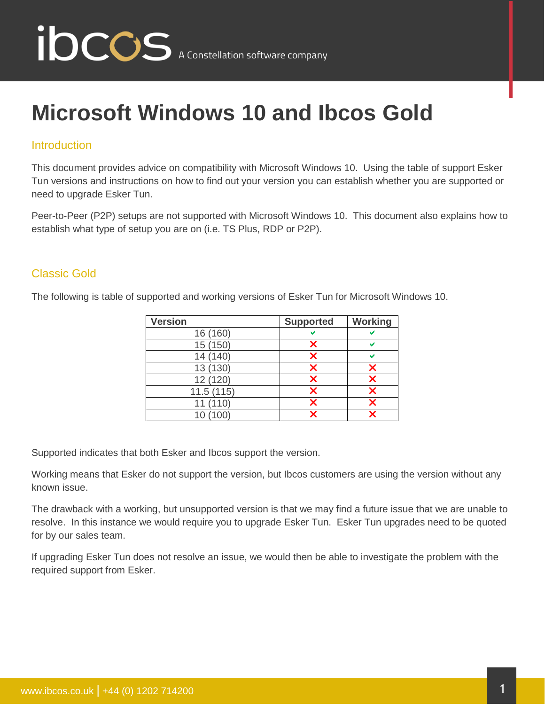

### **Microsoft Windows 10 and Ibcos Gold**

#### **Introduction**

This document provides advice on compatibility with Microsoft Windows 10. Using the table of support Esker Tun versions and instructions on how to find out your version you can establish whether you are supported or need to upgrade Esker Tun.

Peer-to-Peer (P2P) setups are not supported with Microsoft Windows 10. This document also explains how to establish what type of setup you are on (i.e. TS Plus, RDP or P2P).

#### Classic Gold

The following is table of supported and working versions of Esker Tun for Microsoft Windows 10.

| <b>Version</b> | <b>Supported</b> | Working |
|----------------|------------------|---------|
| 16 (160)       |                  |         |
| 15 (150)       | x                |         |
| 14 (140)       | ×                |         |
| 13 (130)       | ×                |         |
| 12 (120)       | X                |         |
| 11.5(115)      | X                |         |
| 11 (110)       | ×                |         |
| 10 (100)       | X                |         |

Supported indicates that both Esker and Ibcos support the version.

Working means that Esker do not support the version, but Ibcos customers are using the version without any known issue.

The drawback with a working, but unsupported version is that we may find a future issue that we are unable to resolve. In this instance we would require you to upgrade Esker Tun. Esker Tun upgrades need to be quoted for by our sales team.

If upgrading Esker Tun does not resolve an issue, we would then be able to investigate the problem with the required support from Esker.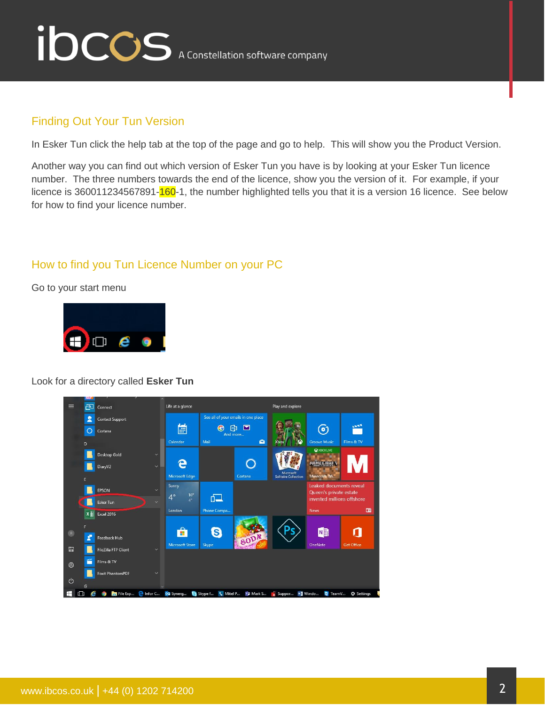

### Finding Out Your Tun Version

In Esker Tun click the help tab at the top of the page and go to help. This will show you the Product Version.

Another way you can find out which version of Esker Tun you have is by looking at your Esker Tun licence number. The three numbers towards the end of the licence, show you the version of it. For example, if your licence is 360011234567891-160-1, the number highlighted tells you that it is a version 16 licence. See below for how to find your licence number.

#### How to find you Tun Licence Number on your PC

Go to your start menu



#### Look for a directory called **Esker Tun**

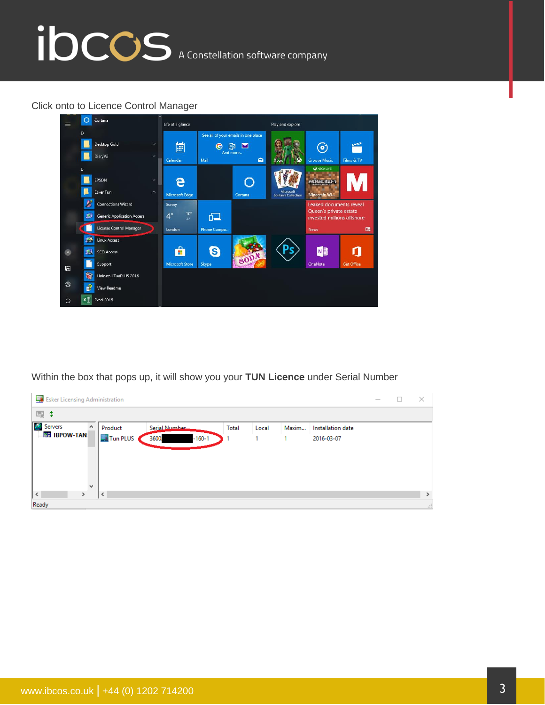# ibccos A Constellation software company

#### Click onto to Licence Control Manager



Within the box that pops up, it will show you your **TUN Licence** under Serial Number

| Esker Licensing Administration |                              |              |       |       |                   | $\hspace{0.1mm}-\hspace{0.1mm}$ | $\times$      |
|--------------------------------|------------------------------|--------------|-------|-------|-------------------|---------------------------------|---------------|
| 四:4                            |                              |              |       |       |                   |                                 |               |
| Servers<br>$\land$             | Serial Number<br>Product     | <b>Total</b> | Local | Maxim | Installation date |                                 |               |
| $\Box$ <b>EH</b> IBPOW-TAN     | Tun PLUS<br>$-160-1$<br>3600 |              |       |       | 2016-03-07        |                                 |               |
|                                |                              |              |       |       |                   |                                 |               |
|                                |                              |              |       |       |                   |                                 |               |
|                                |                              |              |       |       |                   |                                 |               |
| $\omega$<br>$\leq$             |                              |              |       |       |                   |                                 |               |
| $\rightarrow$                  | $\langle$                    |              |       |       |                   |                                 | $\rightarrow$ |
| Ready                          |                              |              |       |       |                   |                                 | ÷             |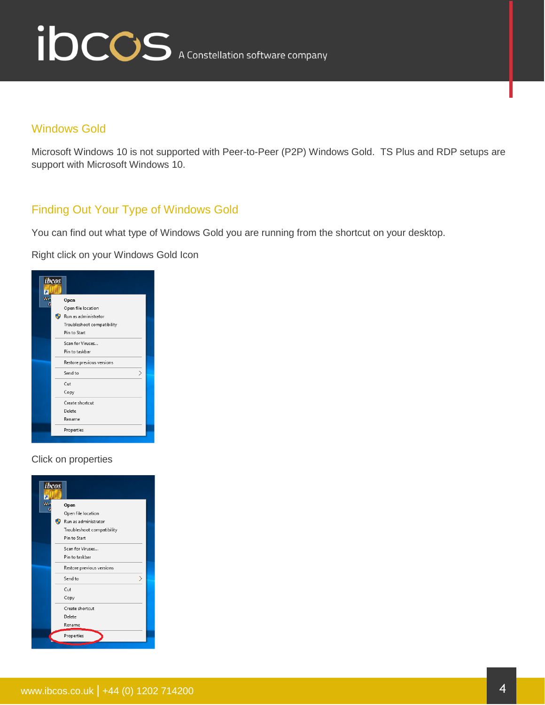

#### Windows Gold

Microsoft Windows 10 is not supported with Peer-to-Peer (P2P) Windows Gold. TS Plus and RDP setups are support with Microsoft Windows 10.

### Finding Out Your Type of Windows Gold

You can find out what type of Windows Gold you are running from the shortcut on your desktop.

Right click on your Windows Gold Icon

| ibcos |                            |  |
|-------|----------------------------|--|
| Wir   | Open                       |  |
|       | Open file location         |  |
|       | Run as administrator<br>Đ  |  |
|       | Troubleshoot compatibility |  |
|       | Pin to Start               |  |
|       | Scan for Viruses           |  |
|       | Pin to taskbar             |  |
|       | Restore previous versions  |  |
|       | ⋋<br>Send to               |  |
|       | Cut                        |  |
|       | Copy                       |  |
|       | Create shortcut            |  |
|       | Delete                     |  |
|       | Rename                     |  |
|       | Properties                 |  |

#### Click on properties

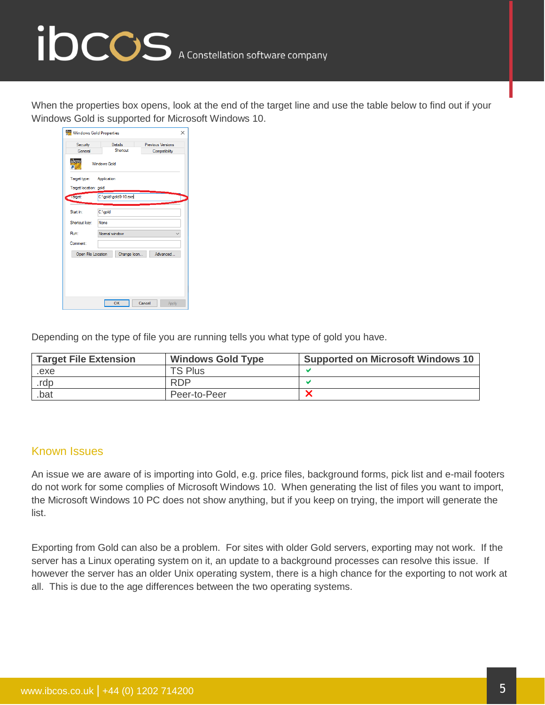## ibccos A Constellation software company

When the properties box opens, look at the end of the target line and use the table below to find out if your Windows Gold is supported for Microsoft Windows 10.

| Windows Gold Properties<br>×     |                                               |                                           |  |  |
|----------------------------------|-----------------------------------------------|-------------------------------------------|--|--|
| Security<br>General              | Details<br>Shortcut                           | <b>Previous Versions</b><br>Compatibility |  |  |
| ibcos<br>п                       | <b>Windows Gold</b>                           |                                           |  |  |
| Target type:                     | Application                                   |                                           |  |  |
| Target location: gold<br>larget: | C:\gold\gold9-10.exe                          |                                           |  |  |
|                                  |                                               |                                           |  |  |
| Start in:                        | C:\gold                                       |                                           |  |  |
| Shortcut key:                    | <b>None</b>                                   |                                           |  |  |
| Run <sup>-</sup>                 | Normal window                                 |                                           |  |  |
| Comment:                         |                                               |                                           |  |  |
|                                  | Advanced<br>Change Icon<br>Open File Location |                                           |  |  |
|                                  |                                               |                                           |  |  |
|                                  |                                               |                                           |  |  |
|                                  |                                               |                                           |  |  |
|                                  | OK                                            | Cancel<br>Apply                           |  |  |

Depending on the type of file you are running tells you what type of gold you have.

| <b>Target File Extension</b> | <b>Windows Gold Type</b> | <b>Supported on Microsoft Windows 10</b> |
|------------------------------|--------------------------|------------------------------------------|
| .exe                         | <b>TS Plus</b>           |                                          |
| .rdp                         | <b>RDP</b>               |                                          |
| .bat                         | Peer-to-Peer             |                                          |

#### Known Issues

An issue we are aware of is importing into Gold, e.g. price files, background forms, pick list and e-mail footers do not work for some complies of Microsoft Windows 10. When generating the list of files you want to import, the Microsoft Windows 10 PC does not show anything, but if you keep on trying, the import will generate the list.

Exporting from Gold can also be a problem. For sites with older Gold servers, exporting may not work. If the server has a Linux operating system on it, an update to a background processes can resolve this issue. If however the server has an older Unix operating system, there is a high chance for the exporting to not work at all. This is due to the age differences between the two operating systems.